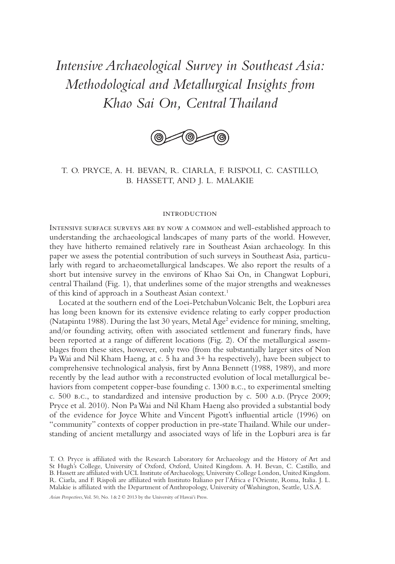# *Intensive Archaeological Survey in Southeast Asia: Methodological and Metallurgical Insights from Khao Sai On, Central Thailand*



## T. O. PRYCE, A. H. BEVAN, R. CIARLA, F. RISPOLI, C. CASTILLO, B. HASSETT, AND J. L. MALAKIE

### **INTRODUCTION**

Intensive surface surveys are by now a common and well-established approach to understanding the archaeological landscapes of many parts of the world. However, they have hitherto remained relatively rare in Southeast Asian archaeology. In this paper we assess the potential contribution of such surveys in Southeast Asia, particularly with regard to archaeometallurgical landscapes. We also report the results of a short but intensive survey in the environs of Khao Sai On, in Changwat Lopburi, central Thailand (Fig. 1), that underlines some of the major strengths and weaknesses of this kind of approach in a Southeast Asian context.1

Located at the southern end of the Loei-Petchabun Volcanic Belt, the Lopburi area has long been known for its extensive evidence relating to early copper production (Natapintu 1988). During the last 30 years, Metal Age<sup>2</sup> evidence for mining, smelting, and/or founding activity, often with associated settlement and funerary finds, have been reported at a range of different locations (Fig. 2). Of the metallurgical assemblages from these sites, however, only two (from the substantially larger sites of Non Pa Wai and Nil Kham Haeng, at c. 5 ha and 3+ ha respectively), have been subject to comprehensive technological analysis, first by Anna Bennett (1988, 1989), and more recently by the lead author with a reconstructed evolution of local metallurgical behaviors from competent copper-base founding c. 1300 b.c., to experimental smelting c. 500 b.c., to standardized and intensive production by c. 500 A.D. (Pryce 2009; Pryce et al. 2010). Non Pa Wai and Nil Kham Haeng also provided a substantial body of the evidence for Joyce White and Vincent Pigott's influential article (1996) on "community" contexts of copper production in pre-state Thailand. While our understanding of ancient metallurgy and associated ways of life in the Lopburi area is far

*Asian Perspectives*, Vol. 50, No. 1 & 2 © 2013 by the University of Hawai'i Press.

T. O. Pryce is affiliated with the Research Laboratory for Archaeology and the History of Art and St Hugh's College, University of Oxford, Oxford, United Kingdom. A. H. Bevan, C. Castillo, and B. Hassett are affiliated with UCL Institute of Archaeology, University College London, United Kingdom. R. Ciarla, and F. Rispoli are affiliated with Instituto Italiano per l'Africa e l'Oriente, Roma, Italia. J. L. Malakie is affiliated with the Department of Anthropology, University of Washington, Seattle, U.S.A.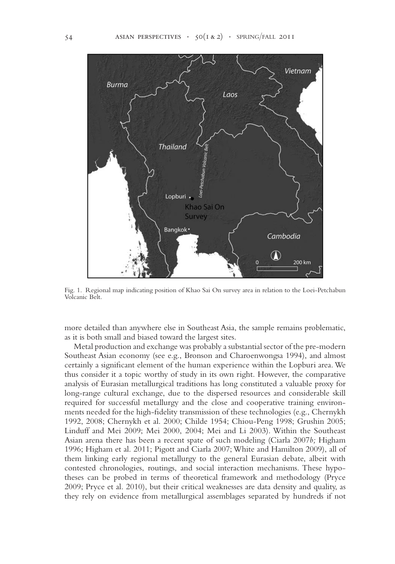

Fig. 1. Regional map indicating position of Khao Sai On survey area in relation to the Loei-Petchabun Volcanic Belt.

more detailed than anywhere else in Southeast Asia, the sample remains problematic, as it is both small and biased toward the largest sites.

Metal production and exchange was probably a substantial sector of the pre- modern Southeast Asian economy (see e.g., Bronson and Charoenwongsa 1994), and almost certainly a significant element of the human experience within the Lopburi area. We thus consider it a topic worthy of study in its own right. However, the comparative analysis of Eurasian metallurgical traditions has long constituted a valuable proxy for long-range cultural exchange, due to the dispersed resources and considerable skill required for successful metallurgy and the close and cooperative training environments needed for the high-fidelity transmission of these technologies (e.g., Chernykh 1992, 2008; Chernykh et al. 2000; Childe 1954; Chiou-Peng 1998; Grushin 2005; Linduff and Mei 2009; Mei 2000, 2004; Mei and Li 2003). Within the Southeast Asian arena there has been a recent spate of such modeling (Ciarla 2007*b;* Higham 1996; Higham et al. 2011; Pigott and Ciarla 2007; White and Hamilton 2009), all of them linking early regional metallurgy to the general Eurasian debate, albeit with contested chronologies, routings, and social interaction mechanisms. These hypotheses can be probed in terms of theoretical framework and methodology (Pryce 2009; Pryce et al. 2010), but their critical weaknesses are data density and quality, as they rely on evidence from metallurgical assemblages separated by hundreds if not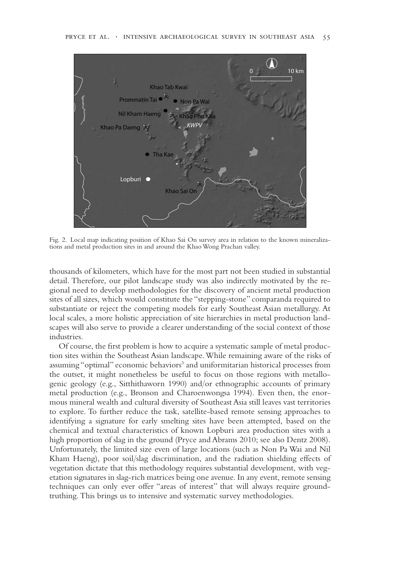

Fig. 2. Local map indicating position of Khao Sai On survey area in relation to the known mineralizations and metal production sites in and around the Khao Wong Prachan valley.

thousands of kilometers, which have for the most part not been studied in substantial detail. Therefore, our pilot landscape study was also indirectly motivated by the regional need to develop methodologies for the discovery of ancient metal production sites of all sizes, which would constitute the "stepping-stone" comparanda required to substantiate or reject the competing models for early Southeast Asian metallurgy. At local scales, a more holistic appreciation of site hierarchies in metal production landscapes will also serve to provide a clearer understanding of the social context of those industries.

Of course, the first problem is how to acquire a systematic sample of metal production sites within the Southeast Asian landscape. While remaining aware of the risks of assuming "optimal" economic behaviors<sup>3</sup> and uniformitarian historical processes from the outset, it might nonetheless be useful to focus on those regions with metallogenic geology (e.g., Sitthithaworn 1990) and/or ethnographic accounts of primary metal production (e.g., Bronson and Charoenwongsa 1994). Even then, the enormous mineral wealth and cultural diversity of Southeast Asia still leaves vast territories to explore. To further reduce the task, satellite-based remote sensing approaches to identifying a signature for early smelting sites have been attempted, based on the chemical and textual characteristics of known Lopburi area production sites with a high proportion of slag in the ground (Pryce and Abrams 2010; see also Dentz 2008). Unfortunately, the limited size even of large locations (such as Non Pa Wai and Nil Kham Haeng), poor soil/slag discrimination, and the radiation shielding effects of vegetation dictate that this methodology requires substantial development, with vegetation signatures in slag-rich matrices being one avenue. In any event, remote sensing techniques can only ever offer "areas of interest" that will always require groundtruthing. This brings us to intensive and systematic survey methodologies.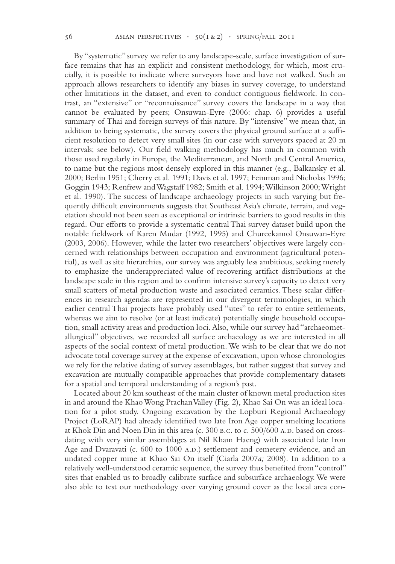By "systematic" survey we refer to any landscape-scale, surface investigation of surface remains that has an explicit and consistent methodology, for which, most crucially, it is possible to indicate where surveyors have and have not walked. Such an approach allows researchers to identify any biases in survey coverage, to understand other limitations in the dataset, and even to conduct contiguous fieldwork. In contrast, an "extensive" or "reconnaissance" survey covers the landscape in a way that cannot be evaluated by peers; Onsuwan-Eyre (2006: chap. 6) provides a useful summary of Thai and foreign surveys of this nature. By "intensive" we mean that, in addition to being systematic, the survey covers the physical ground surface at a sufficient resolution to detect very small sites (in our case with surveyors spaced at 20 m intervals; see below). Our field walking methodology has much in common with those used regularly in Europe, the Mediterranean, and North and Central America, to name but the regions most densely explored in this manner (e.g., Balkansky et al. 2000; Berlin 1951; Cherry et al. 1991; Davis et al. 1997; Feinman and Nicholas 1996; Goggin 1943; Renfrew and Wagstaff 1982; Smith et al. 1994; Wilkinson 2000; Wright et al. 1990). The success of landscape archaeology projects in such varying but frequently difficult environments suggests that Southeast Asia's climate, terrain, and vegetation should not been seen as exceptional or intrinsic barriers to good results in this regard. Our efforts to provide a systematic central Thai survey dataset build upon the notable fieldwork of Karen Mudar (1992, 1995) and Chureekamol Onsuwan-Eyre (2003, 2006). However, while the latter two researchers' objectives were largely concerned with relationships between occupation and environment (agricultural potential), as well as site hierarchies, our survey was arguably less ambitious, seeking merely to emphasize the underappreciated value of recovering artifact distributions at the landscape scale in this region and to confirm intensive survey's capacity to detect very small scatters of metal production waste and associated ceramics. These scalar differences in research agendas are represented in our divergent terminologies, in which earlier central Thai projects have probably used "sites" to refer to entire settlements, whereas we aim to resolve (or at least indicate) potentially single household occupation, small activity areas and production loci. Also, while our survey had "archaeometallurgical" objectives, we recorded all surface archaeology as we are interested in all aspects of the social context of metal production. We wish to be clear that we do not advocate total coverage survey at the expense of excavation, upon whose chronologies we rely for the relative dating of survey assemblages, but rather suggest that survey and excavation are mutually compatible approaches that provide complementary datasets for a spatial and temporal understanding of a region's past.

Located about 20 km southeast of the main cluster of known metal production sites in and around the Khao Wong Prachan Valley (Fig. 2), Khao Sai On was an ideal location for a pilot study. Ongoing excavation by the Lopburi Regional Archaeology Project (LoRAP) had already identified two late Iron Age copper smelting locations at Khok Din and Noen Din in this area (c.  $300$  B.C. to c.  $500/600$  A.D. based on crossdating with very similar assemblages at Nil Kham Haeng) with associated late Iron Age and Dvaravati (c. 600 to 1000 A.D.) settlement and cemetery evidence, and an undated copper mine at Khao Sai On itself (Ciarla 2007*a;* 2008). In addition to a relatively well-understood ceramic sequence, the survey thus benefited from "control" sites that enabled us to broadly calibrate surface and subsurface archaeology. We were also able to test our methodology over varying ground cover as the local area con-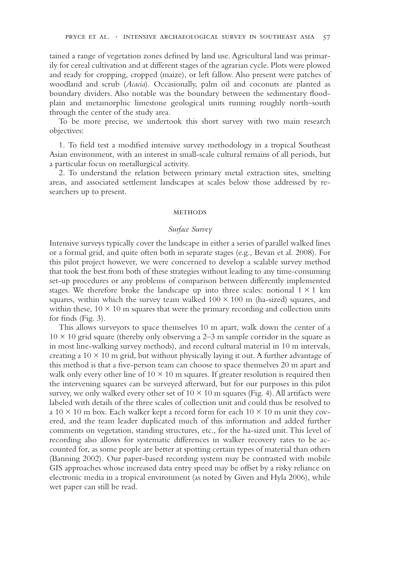tained a range of vegetation zones defined by land use. Agricultural land was primarily for cereal cultivation and at different stages of the agrarian cycle. Plots were plowed and ready for cropping, cropped (maize), or left fallow. Also present were patches of woodland and scrub (*Acacia*). Occasionally, palm oil and coconuts are planted as boundary dividers. Also notable was the boundary between the sedimentary floodplain and metamorphic limestone geological units running roughly north–south through the center of the study area.

To be more precise, we undertook this short survey with two main research objectives:

1. To field test a modified intensive survey methodology in a tropical Southeast Asian environment, with an interest in small-scale cultural remains of all periods, but a particular focus on metallurgical activity.

2. To understand the relation between primary metal extraction sites, smelting areas, and associated settlement landscapes at scales below those addressed by researchers up to present.

### **METHODS**

## *Surface Survey*

Intensive surveys typically cover the landscape in either a series of parallel walked lines or a formal grid, and quite often both in separate stages (e.g., Bevan et al. 2008). For this pilot project however, we were concerned to develop a scalable survey method that took the best from both of these strategies without leading to any time-consuming set-up procedures or any problems of comparison between differently implemented stages. We therefore broke the landscape up into three scales: notional  $1 \times 1$  km squares, within which the survey team walked  $100 \times 100$  m (ha-sized) squares, and within these,  $10 \times 10$  m squares that were the primary recording and collection units for finds (Fig. 3).

This allows surveyors to space themselves 10 m apart, walk down the center of a  $10 \times 10$  grid square (thereby only observing a 2–3 m sample corridor in the square as in most line-walking survey methods), and record cultural material in 10 m intervals, creating a  $10 \times 10$  m grid, but without physically laying it out. A further advantage of this method is that a five-person team can choose to space themselves 20 m apart and walk only every other line of  $10 \times 10$  m squares. If greater resolution is required then the intervening squares can be surveyed afterward, but for our purposes in this pilot survey, we only walked every other set of  $10 \times 10$  m squares (Fig. 4). All artifacts were labeled with details of the three scales of collection unit and could thus be resolved to a  $10 \times 10$  m box. Each walker kept a record form for each  $10 \times 10$  m unit they covered, and the team leader duplicated much of this information and added further comments on vegetation, standing structures, etc., for the ha-sized unit. This level of recording also allows for systematic differences in walker recovery rates to be accounted for, as some people are better at spotting certain types of material than others (Banning 2002). Our paper-based recording system may be contrasted with mobile GIS approaches whose increased data entry speed may be offset by a risky reliance on electronic media in a tropical environment (as noted by Given and Hyla 2006), while wet paper can still be read.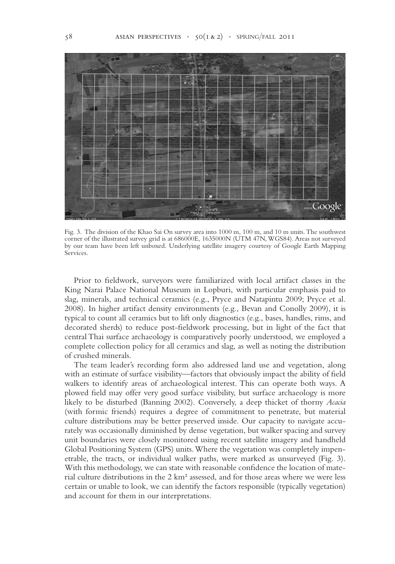

Fig. 3. The division of the Khao Sai On survey area into 1000 m, 100 m, and 10 m units. The southwest corner of the illustrated survey grid is at 686000E, 1635000N (UTM 47N, WGS84). Areas not surveyed by our team have been left unboxed. Underlying satellite imagery courtesy of Google Earth Mapping Services.

Prior to fieldwork, surveyors were familiarized with local artifact classes in the King Narai Palace National Museum in Lopburi, with particular emphasis paid to slag, minerals, and technical ceramics (e.g., Pryce and Natapintu 2009; Pryce et al. 2008). In higher artifact density environments (e.g., Bevan and Conolly 2009), it is typical to count all ceramics but to lift only diagnostics (e.g., bases, handles, rims, and decorated sherds) to reduce post-fieldwork processing, but in light of the fact that central Thai surface archaeology is comparatively poorly understood, we employed a complete collection policy for all ceramics and slag, as well as noting the distribution of crushed minerals.

The team leader's recording form also addressed land use and vegetation, along with an estimate of surface visibility—factors that obviously impact the ability of field walkers to identify areas of archaeological interest. This can operate both ways. A plowed field may offer very good surface visibility, but surface archaeology is more likely to be disturbed (Banning 2002). Conversely, a deep thicket of thorny *Acacia* (with formic friends) requires a degree of commitment to penetrate, but material culture distributions may be better preserved inside. Our capacity to navigate accurately was occasionally diminished by dense vegetation, but walker spacing and survey unit boundaries were closely monitored using recent satellite imagery and handheld Global Positioning System (GPS) units. Where the vegetation was completely impenetrable, the tracts, or individual walker paths, were marked as unsurveyed (Fig. 3). With this methodology, we can state with reasonable confidence the location of material culture distributions in the 2 km² assessed, and for those areas where we were less certain or unable to look, we can identify the factors responsible (typically vegetation) and account for them in our interpretations.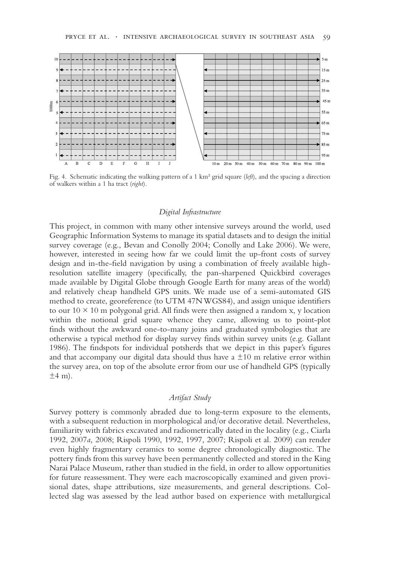

Fig. 4. Schematic indicating the walking pattern of a 1 km² grid square (*left*), and the spacing a direction of walkers within a 1 ha tract (*right*).

### *Digital Infrastructure*

This project, in common with many other intensive surveys around the world, used Geographic Information Systems to manage its spatial datasets and to design the initial survey coverage (e.g., Bevan and Conolly 2004; Conolly and Lake 2006). We were, however, interested in seeing how far we could limit the up-front costs of survey design and in-the-field navigation by using a combination of freely available highresolution satellite imagery (specifically, the pan-sharpened Quickbird coverages made available by Digital Globe through Google Earth for many areas of the world) and relatively cheap handheld GPS units. We made use of a semi-automated GIS method to create, georeference (to UTM 47N WGS84), and assign unique identifiers to our  $10 \times 10$  m polygonal grid. All finds were then assigned a random x, y location within the notional grid square whence they came, allowing us to point-plot finds without the awkward one-to-many joins and graduated symbologies that are otherwise a typical method for display survey finds within survey units (e.g. Gallant 1986). The findspots for individual potsherds that we depict in this paper's figures and that accompany our digital data should thus have a  $\pm 10$  m relative error within the survey area, on top of the absolute error from our use of handheld GPS (typically  $\pm 4$  m).

## *Artifact Study*

Survey pottery is commonly abraded due to long-term exposure to the elements, with a subsequent reduction in morphological and/or decorative detail. Nevertheless, familiarity with fabrics excavated and radiometrically dated in the locality (e.g., Ciarla 1992, 2007*a,* 2008; Rispoli 1990, 1992, 1997, 2007; Rispoli et al. 2009) can render even highly fragmentary ceramics to some degree chronologically diagnostic. The pottery finds from this survey have been permanently collected and stored in the King Narai Palace Museum, rather than studied in the field, in order to allow opportunities for future reassessment. They were each macroscopically examined and given provisional dates, shape attributions, size measurements, and general descriptions. Collected slag was assessed by the lead author based on experience with metallurgical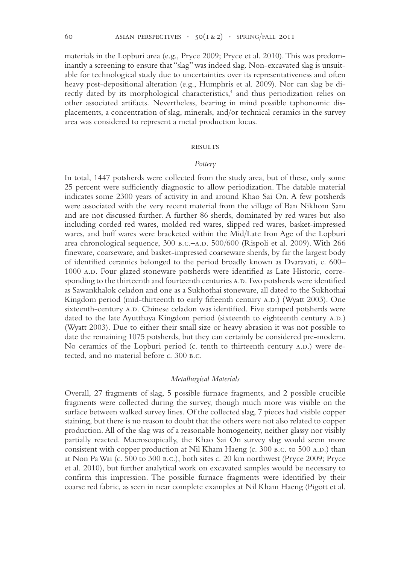materials in the Lopburi area (e.g., Pryce 2009; Pryce et al. 2010). This was predominantly a screening to ensure that "slag" was indeed slag. Non-excavated slag is unsuitable for technological study due to uncertainties over its representativeness and often heavy post-depositional alteration (e.g., Humphris et al. 2009). Nor can slag be directly dated by its morphological characteristics,<sup>4</sup> and thus periodization relies on other associated artifacts. Nevertheless, bearing in mind possible taphonomic displacements, a concentration of slag, minerals, and/or technical ceramics in the survey area was considered to represent a metal production locus.

### **RESULTS**

### *Pottery*

In total, 1447 potsherds were collected from the study area, but of these, only some 25 percent were sufficiently diagnostic to allow periodization. The datable material indicates some 2300 years of activity in and around Khao Sai On. A few potsherds were associated with the very recent material from the village of Ban Nikhom Sam and are not discussed further. A further 86 sherds, dominated by red wares but also including corded red wares, molded red wares, slipped red wares, basket-impressed wares, and buff wares were bracketed within the Mid/Late Iron Age of the Lopburi area chronological sequence,  $300 B.C.-A.D. 500/600$  (Rispoli et al. 2009). With 266 fineware, coarseware, and basket-impressed coarseware sherds, by far the largest body of identified ceramics belonged to the period broadly known as Dvaravati, c. 600– 1000 A.D. Four glazed stoneware potsherds were identified as Late Historic, corresponding to the thirteenth and fourteenth centuries A.D. Two potsherds were identified as Sawankhalok celadon and one as a Sukhothai stoneware, all dated to the Sukhothai Kingdom period (mid-thirteenth to early fifteenth century A.D.) (Wyatt 2003). One sixteenth-century A.D. Chinese celadon was identified. Five stamped potsherds were dated to the late Ayutthaya Kingdom period (sixteenth to eighteenth century A.D.) (Wyatt 2003). Due to either their small size or heavy abrasion it was not possible to date the remaining 1075 potsherds, but they can certainly be considered pre-modern. No ceramics of the Lopburi period (c. tenth to thirteenth century A.D.) were detected, and no material before c. 300 b.c.

### *Metallurgical Materials*

Overall, 27 fragments of slag, 5 possible furnace fragments, and 2 possible crucible fragments were collected during the survey, though much more was visible on the surface between walked survey lines. Of the collected slag, 7 pieces had visible copper staining, but there is no reason to doubt that the others were not also related to copper production. All of the slag was of a reasonable homogeneity, neither glassy nor visibly partially reacted. Macroscopically, the Khao Sai On survey slag would seem more consistent with copper production at Nil Kham Haeng (c. 300 B.C. to 500 A.D.) than at Non Pa Wai (c. 500 to 300 b.c.), both sites c. 20 km northwest (Pryce 2009; Pryce et al. 2010), but further analytical work on excavated samples would be necessary to confirm this impression. The possible furnace fragments were identified by their coarse red fabric, as seen in near complete examples at Nil Kham Haeng (Pigott et al.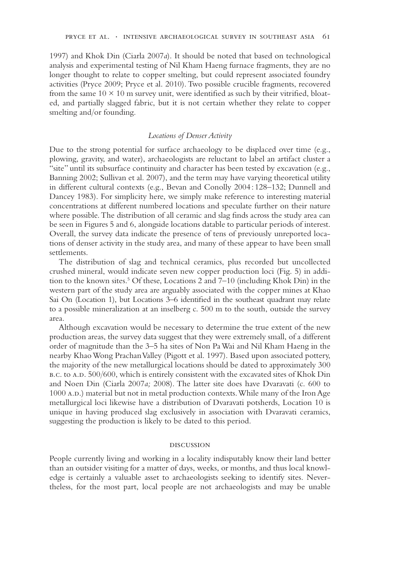1997) and Khok Din (Ciarla 2007*a*). It should be noted that based on technological analysis and experimental testing of Nil Kham Haeng furnace fragments, they are no longer thought to relate to copper smelting, but could represent associated foundry activities (Pryce 2009; Pryce et al. 2010). Two possible crucible fragments, recovered from the same  $10 \times 10$  m survey unit, were identified as such by their vitrified, bloated, and partially slagged fabric, but it is not certain whether they relate to copper smelting and/or founding.

### *Locations of Denser Activity*

Due to the strong potential for surface archaeology to be displaced over time (e.g., plowing, gravity, and water), archaeologists are reluctant to label an artifact cluster a "site" until its subsurface continuity and character has been tested by excavation (e.g., Banning 2002; Sullivan et al. 2007), and the term may have varying theoretical utility in different cultural contexts (e.g., Bevan and Conolly 2004 : 128–132; Dunnell and Dancey 1983). For simplicity here, we simply make reference to interesting material concentrations at different numbered locations and speculate further on their nature where possible. The distribution of all ceramic and slag finds across the study area can be seen in Figures 5 and 6, alongside locations datable to particular periods of interest. Overall, the survey data indicate the presence of tens of previously unreported locations of denser activity in the study area, and many of these appear to have been small settlements.

The distribution of slag and technical ceramics, plus recorded but uncollected crushed mineral, would indicate seven new copper production loci (Fig. 5) in addition to the known sites.<sup>5</sup> Of these, Locations 2 and 7–10 (including Khok Din) in the western part of the study area are arguably associated with the copper mines at Khao Sai On (Location 1), but Locations 3–6 identified in the southeast quadrant may relate to a possible mineralization at an inselberg c. 500 m to the south, outside the survey area.

Although excavation would be necessary to determine the true extent of the new production areas, the survey data suggest that they were extremely small, of a different order of magnitude than the 3–5 ha sites of Non Pa Wai and Nil Kham Haeng in the nearby Khao Wong Prachan Valley (Pigott et al. 1997). Based upon associated pottery, the majority of the new metallurgical locations should be dated to approximately 300 b.c. to a.d. 500/600, which is entirely consistent with the excavated sites of Khok Din and Noen Din (Ciarla 2007*a;* 2008). The latter site does have Dvaravati (c. 600 to 1000 A.D.) material but not in metal production contexts. While many of the Iron Age metallurgical loci likewise have a distribution of Dvaravati potsherds, Location 10 is unique in having produced slag exclusively in association with Dvaravati ceramics, suggesting the production is likely to be dated to this period.

### discussion

People currently living and working in a locality indisputably know their land better than an outsider visiting for a matter of days, weeks, or months, and thus local knowledge is certainly a valuable asset to archaeologists seeking to identify sites. Nevertheless, for the most part, local people are not archaeologists and may be unable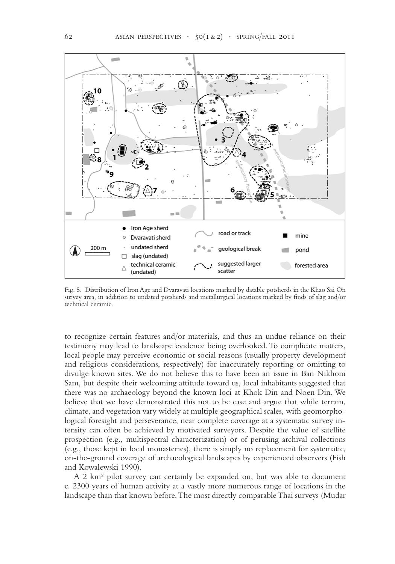

Fig. 5. Distribution of Iron Age and Dvaravati locations marked by datable potsherds in the Khao Sai On survey area, in addition to undated potsherds and metallurgical locations marked by finds of slag and/or technical ceramic.

to recognize certain features and/or materials, and thus an undue reliance on their testimony may lead to landscape evidence being overlooked. To complicate matters, local people may perceive economic or social reasons (usually property development and religious considerations, respectively) for inaccurately reporting or omitting to divulge known sites. We do not believe this to have been an issue in Ban Nikhom Sam, but despite their welcoming attitude toward us, local inhabitants suggested that there was no archaeology beyond the known loci at Khok Din and Noen Din. We believe that we have demonstrated this not to be case and argue that while terrain, climate, and vegetation vary widely at multiple geographical scales, with geomorphological foresight and perseverance, near complete coverage at a systematic survey intensity can often be achieved by motivated surveyors. Despite the value of satellite prospection (e.g., multispectral characterization) or of perusing archival collections (e.g., those kept in local monasteries), there is simply no replacement for systematic, on-the-ground coverage of archaeological landscapes by experienced observers (Fish and Kowalewski 1990).

A 2 km² pilot survey can certainly be expanded on, but was able to document c. 2300 years of human activity at a vastly more numerous range of locations in the landscape than that known before. The most directly comparable Thai surveys (Mudar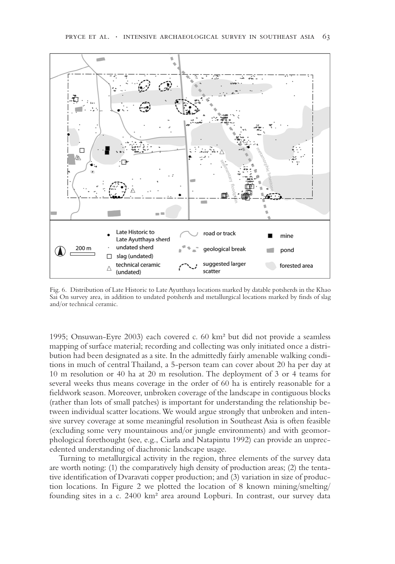

Fig. 6. Distribution of Late Historic to Late Ayutthaya locations marked by datable potsherds in the Khao Sai On survey area, in addition to undated potsherds and metallurgical locations marked by finds of slag and/or technical ceramic.

1995; Onsuwan-Eyre 2003) each covered c. 60 km² but did not provide a seamless mapping of surface material; recording and collecting was only initiated once a distribution had been designated as a site. In the admittedly fairly amenable walking conditions in much of central Thailand, a 5-person team can cover about 20 ha per day at 10 m resolution or 40 ha at 20 m resolution. The deployment of 3 or 4 teams for several weeks thus means coverage in the order of 60 ha is entirely reasonable for a fieldwork season. Moreover, unbroken coverage of the landscape in contiguous blocks (rather than lots of small patches) is important for understanding the relationship between individual scatter locations. We would argue strongly that unbroken and intensive survey coverage at some meaningful resolution in Southeast Asia is often feasible (excluding some very mountainous and/or jungle environments) and with geomorphological forethought (see, e.g., Ciarla and Natapintu 1992) can provide an unprecedented understanding of diachronic landscape usage.

Turning to metallurgical activity in the region, three elements of the survey data are worth noting: (1) the comparatively high density of production areas; (2) the tentative identification of Dvaravati copper production; and (3) variation in size of production locations. In Figure 2 we plotted the location of 8 known mining/smelting/ founding sites in a c. 2400 km² area around Lopburi. In contrast, our survey data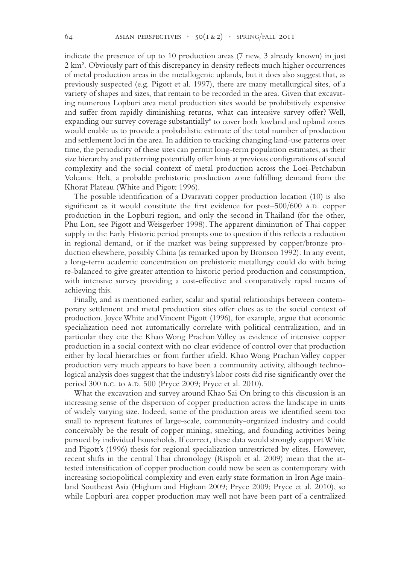indicate the presence of up to 10 production areas (7 new, 3 already known) in just 2 km². Obviously part of this discrepancy in density reflects much higher occurrences of metal production areas in the metallogenic uplands, but it does also suggest that, as previously suspected (e.g. Pigott et al. 1997), there are many metallurgical sites, of a variety of shapes and sizes, that remain to be recorded in the area. Given that excavating numerous Lopburi area metal production sites would be prohibitively expensive and suffer from rapidly diminishing returns, what can intensive survey offer? Well, expanding our survey coverage substantially<sup>6</sup> to cover both lowland and upland zones would enable us to provide a probabilistic estimate of the total number of production and settlement loci in the area. In addition to tracking changing land-use patterns over time, the periodicity of these sites can permit long-term population estimates, as their size hierarchy and patterning potentially offer hints at previous configurations of social complexity and the social context of metal production across the Loei-Petchabun Volcanic Belt, a probable prehistoric production zone fulfilling demand from the Khorat Plateau (White and Pigott 1996).

The possible identification of a Dvaravati copper production location (10) is also significant as it would constitute the first evidence for post– $500/600$  A.D. copper production in the Lopburi region, and only the second in Thailand (for the other, Phu Lon, see Pigott and Weisgerber 1998). The apparent diminution of Thai copper supply in the Early Historic period prompts one to question if this reflects a reduction in regional demand, or if the market was being suppressed by copper/bronze production elsewhere, possibly China (as remarked upon by Bronson 1992). In any event, a long-term academic concentration on prehistoric metallurgy could do with being re-balanced to give greater attention to historic period production and consumption, with intensive survey providing a cost-effective and comparatively rapid means of achieving this.

Finally, and as mentioned earlier, scalar and spatial relationships between contemporary settlement and metal production sites offer clues as to the social context of production. Joyce White and Vincent Pigott (1996), for example, argue that economic specialization need not automatically correlate with political centralization, and in particular they cite the Khao Wong Prachan Valley as evidence of intensive copper production in a social context with no clear evidence of control over that production either by local hierarchies or from further afield. Khao Wong Prachan Valley copper production very much appears to have been a community activity, although technological analysis does suggest that the industry's labor costs did rise significantly over the period 300 b.c. to A.D. 500 (Pryce 2009; Pryce et al. 2010).

What the excavation and survey around Khao Sai On bring to this discussion is an increasing sense of the dispersion of copper production across the landscape in units of widely varying size. Indeed, some of the production areas we identified seem too small to represent features of large-scale, community-organized industry and could conceivably be the result of copper mining, smelting, and founding activities being pursued by individual households. If correct, these data would strongly support White and Pigott's (1996) thesis for regional specialization unrestricted by elites. However, recent shifts in the central Thai chronology (Rispoli et al. 2009) mean that the attested intensification of copper production could now be seen as contemporary with increasing sociopolitical complexity and even early state formation in Iron Age mainland Southeast Asia (Higham and Higham 2009; Pryce 2009; Pryce et al. 2010), so while Lopburi-area copper production may well not have been part of a centralized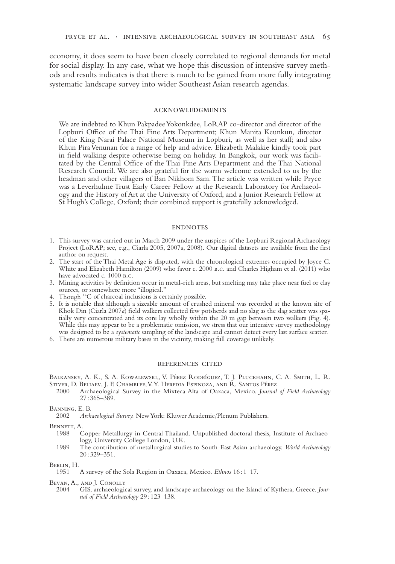economy, it does seem to have been closely correlated to regional demands for metal for social display. In any case, what we hope this discussion of intensive survey methods and results indicates is that there is much to be gained from more fully integrating systematic landscape survey into wider Southeast Asian research agendas.

#### acknowledgments

We are indebted to Khun Pakpadee Yokonkdee, LoRAP co-director and director of the Lopburi Office of the Thai Fine Arts Department; Khun Manita Keunkun, director of the King Narai Palace National Museum in Lopburi, as well as her staff; and also Khun Pira Venunan for a range of help and advice. Elizabeth Malakie kindly took part in field walking despite otherwise being on holiday. In Bangkok, our work was facilitated by the Central Office of the Thai Fine Arts Department and the Thai National Research Council. We are also grateful for the warm welcome extended to us by the headman and other villagers of Ban Nikhom Sam. The article was written while Pryce was a Leverhulme Trust Early Career Fellow at the Research Laboratory for Archaeology and the History of Art at the University of Oxford, and a Junior Research Fellow at St Hugh's College, Oxford; their combined support is gratefully acknowledged.

### **ENDNOTES**

- 1. This survey was carried out in March 2009 under the auspices of the Lopburi Regional Archaeology Project (LoRAP; see, e.g., Ciarla 2005, 2007*a*, 2008). Our digital datasets are available from the first author on request.
- 2. The start of the Thai Metal Age is disputed, with the chronological extremes occupied by Joyce C. White and Elizabeth Hamilton (2009) who favor c. 2000 b.c. and Charles Higham et al. (2011) who have advocated c. 1000 B.C.
- 3. Mining activities by definition occur in metal-rich areas, but smelting may take place near fuel or clay sources, or somewhere more "illogical."
- 4. Though 14C of charcoal inclusions is certainly possible.
- 5. It is notable that although a sizeable amount of crushed mineral was recorded at the known site of Khok Din (Ciarla 2007*a*) field walkers collected few potsherds and no slag as the slag scatter was spatially very concentrated and its core lay wholly within the 20 m gap between two walkers (Fig. 4). While this may appear to be a problematic omission, we stress that our intensive survey methodology was designed to be a *systematic* sampling of the landscape and cannot detect every last surface scatter.
- 6. There are numerous military bases in the vicinity, making full coverage unlikely.

### references cited

Balkansky, A. K., S. A. Kowalewski,, V. Pérez Rodríguez, T. J. Pluckhahn, C. A. Smith, L. R. STIVER, D. BELIAEV, J. F. CHAMBLEE, V. Y. HEREDIA ESPINOZA, AND R. SANTOS PÉREZ 2000 Archaeological Survey in the Mixteca Alta of Oaxaca, Mexico. Journal

2000 Archaeological Survey in the Mixteca Alta of Oaxaca, Mexico. *Journal of Field Archaeology*  27 : 365–389.

BANNING, E. B.<br>2002 Arch

2002 *Archaeological Survey.* New York: Kluwer Academic/Plenum Publishers.

**BENNETT, A.**<br>1988 C

- Copper Metallurgy in Central Thailand. Unpublished doctoral thesis, Institute of Archaeology, University College London, U.K.
- 1989 The contribution of metallurgical studies to South-East Asian archaeology. *World Archaeology* 20 : 329–351.

Berlin, H.<br>1951

1951 A survey of the Sola Region in Oaxaca, Mexico. *Ethnos* 16 : 1–17.

Bevan, A., and J. Conolly

2004 GIS, archaeological survey, and landscape archaeology on the Island of Kythera, Greece. *Journal of Field Archaeology* 29 : 123–138.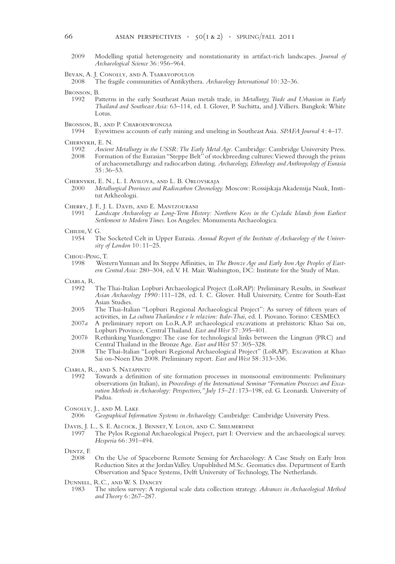- 2009 Modelling spatial heterogeneity and nonstationarity in artifact-rich landscapes. *Journal of Archaeological Science* 36 : 956–964.
- BEVAN, A. J. CONOLLY, AND A. TSARAVOPOULOS<br>2008 The fragile communities of Antikythe

- Bronson, B.<br>1992 Pa
	- Patterns in the early Southeast Asian metals trade, in *Metallurgy, Trade and Urbanism in Early Thailand and Southeast Asia:* 63–114, ed. I. Glover, P. Suchitta, and J. Villiers. Bangkok: White Lotus.
- Bronson, B., and P. Charoenwongsa<br>1994 Eyewitness accounts of early
	- 1994 Eyewitness accounts of early mining and smelting in Southeast Asia. *SPAFA Journal* 4 : 4–17.

- 1992 *Ancient Metallurgy in the USSR: The Early Metal Age.* Cambridge: Cambridge University Press.<br>2008 Formation of the Eurasian "Steppe Belt" of stockbreeding cultures: Viewed through the prism Formation of the Eurasian "Steppe Belt" of stockbreeding cultures: Viewed through the prism of archaeometallurgy and radiocarbon dating. *Archaeology, Ethnology and Anthropology of Eurasia* 35 : 36–53.
- CHERNYKH, E. N., L. I. AVILOVA, AND L. B. ORLOVSKAJA<br>2000 Metallurgical Provinces and Radiocarbon Chronolog
- 2000 *Metallurgical Provinces and Radiocarbon Chronology.* Moscow: Rossijskaja Akademija Nauk, Institut Arkheologii.
- Cherry, J. F., J. L. Davis, and E. Mantzourani
	- 1991 *Landscape Archaeology as Long-Term History: Northern Keos in the Cycladic Islands from Earliest Settlement to Modern Times.* Los Angeles: Monumenta Archaeologica.
- CHILDE, V. G.<br>1954 Tl
	- The Socketed Celt in Upper Eurasia. Annual Report of the Institute of Archaeology of the Univer*sity of London* 10 : 11–25.
- Chiou-Peng, T.
	- 1998 Western Yunnan and Its Steppe Affinities, in *The Bronze Age and Early Iron Age Peoples of Eastern Central Asia:* 280–304, ed. V. H. Mair. Washington, DC: Institute for the Study of Man.
- Ciarla, R.
	- 1992 The Thai-Italian Lopburi Archaeological Project (LoRAP): Preliminary Results, in *Southeast Asian Archaeology 1990 :* 111–128, ed. I. C. Glover. Hull University, Centre for South-East Asian Studies.
	- 2005 The Thai-Italian "Lopburi Regional Archaeological Project": As survey of fifteen years of activities, in *La cultura Thailandese e le relazion: Italo-Thai*, ed. I. Piovano. Torino: CESMEO.
	- 2007*a* A preliminary report on Lo.R.A.P. archaeological excavations at prehistoric Khao Sai on, Lopburi Province, Central Thailand. *East and West* 57 : 395–401.
	- 2007*b* Rethinking Yuanlongpo: The case for technological links between the Lingnan (PRC) and Central Thailand in the Bronze Age. *East and West* 57 : 305–328.
	- 2008 The Thai-Italian "Lopburi Regional Archaeological Project" (LoRAP). Excavation at Khao Sai on-Noen Din 2008. Preliminary report. *East and West* 58 : 313–336.

CIARLA, R., AND S. NATAPINTU<br>1992 Towards a definition

- Towards a definition of site formation processes in monsoonal environments: Preliminary observations (in Italian), in *Proceedings of the International Seminar "Formation Processes and Exca*vation Methods in Archaeology: Perspectives," July 15-21: 173-198, ed. G. Leonardi. University of Padua.
- Conolly, J., and M. Lake
- 2006 *Geographical Information Systems in Archaeology.* Cambridge: Cambridge University Press.
- Davis, J. L., S. E. ALCOCK, J. BENNET, Y. LOLOS, AND C. SHELMERDINE 1997 The Pylos Regional Archaeological Project, part I: Overvi
- The Pylos Regional Archaeological Project, part I: Overview and the archaeological survey. *Hesperia* 66 : 391–494.

Dentz, F.

- 2008 On the Use of Spaceborne Remote Sensing for Archaeology: A Case Study on Early Iron Reduction Sites at the Jordan Valley. Unpublished M.Sc. Geomatics diss. Department of Earth Observation and Space Systems, Delft University of Technology, The Netherlands.
- DUNNELL, R.C., AND W. S. DANCEY<br>1983 The siteless survey: A reg
	- 1983 The siteless survey: A regional scale data collection strategy. *Advances in Archaeological Method and Theory* 6 : 267–287.

The fragile communities of Antikythera. *Archaeology International* 10:32-36.

Chernykh, E. N.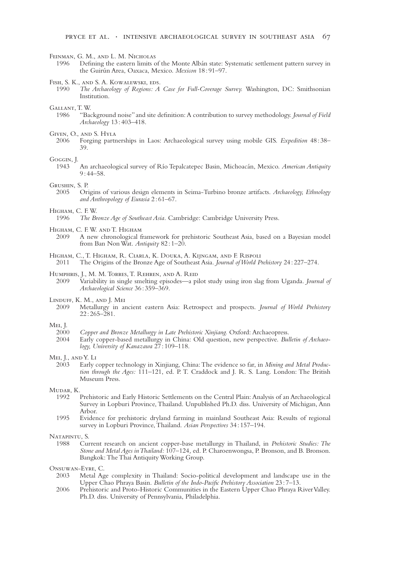#### Feinman, G. M., and L. M. Nicholas

1996 Defining the eastern limits of the Monte Albán state: Systematic settlement pattern survey in the Guirún Area, Oaxaca, Mexico. *Mexicon* 18 : 91–97.

## FISH, S. K., AND S. A. KOWALEWSKI, EDS.<br>1990 The Archaeology of Regions: A

1990 *The Archaeology of Regions: A Case for Full-Coverage Survey.* Washington, DC: Smithsonian Institution.

## GALLANT, T. W.<br>1986 **"Bag**

1986 "Background noise" and site definition: A contribution to survey methodology. *Journal of Field Archaeology* 13 : 403–418.

## GIVEN, O., AND S. HYLA<br>2006 Forging partn

2006 Forging partnerships in Laos: Archaeological survey using mobile GIS. *Expedition* 48 : 38– 39.

#### Goggin, J.

1943 An archaeological survey of Río Tepalcatepec Basin, Michoacán, Mexico. *American Antiquity*  $9:44 - 58.$ 

#### Grushin, S. P.

2005 Origins of various design elements in Seima-Turbino bronze artifacts. *Archaeology, Ethnology and Anthropology of Eurasia* 2 : 61–67.

### Higham, C. F. W.

1996 *The Bronze Age of Southeast Asia.* Cambridge: Cambridge University Press.

- Higham, C. F. W. and T. Higham
	- 2009 A new chronological framework for prehistoric Southeast Asia, based on a Bayesian model from Ban Non Wat. *Antiquity* 82 : 1–20.

### Higham, C., T. Higham, R. Ciarla, K. Douka, A. Kijngam, and F. Rispoli

2011 The Origins of the Bronze Age of Southeast Asia. *Journal of World Prehistory* 24 : 227–274.

## HUMPHRIS, J., M. M. TORRES, T. REHREN, AND A. REID<br>2009 Variability in single smelting enisodes—a ni

2009 Variability in single smelting episodes—a pilot study using iron slag from Uganda. *Journal of Archaeological Science* 36 : 359–369.

## LINDUFF, K. M., AND J. MEI<br>2009 Metallurov in a

2009 Metallurgy in ancient eastern Asia: Retrospect and prospects. *Journal of World Prehistory* 22 : 265–281.

## Mei, J.<br>2000

- 2000 *Copper and Bronze Metallurgy in Late Prehistoric Xinjiang.* Oxford: Archaeopress.
	- Early copper-based metallurgy in China: Old question, new perspective. *Bulletin of Archaeology, University of Kanazawa* 27 : 109–118.

## Mei, J., and Y. Li<br>2003 Early

Early copper technology in Xinjiang, China: The evidence so far, in *Mining and Metal Production through the Ages:* 111–121, ed. P. T. Craddock and J. R. S. Lang. London: The British Museum Press.

### Mudar, K.

- 1992 Prehistoric and Early Historic Settlements on the Central Plain: Analysis of an Archaeological Survey in Lopburi Province, Thailand. Unpublished Ph.D. diss. University of Michigan, Ann Arbor.
- 1995 Evidence for prehistoric dryland farming in mainland Southeast Asia: Results of regional survey in Lopburi Province, Thailand. *Asian Perspectives* 34 : 157–194.

#### Natapintu, S.

1988 Current research on ancient copper-base metallurgy in Thailand, in *Prehistoric Studies: The Stone and Metal Ages in Thailand:* 107–124*,* ed. P. Charoenwongsa, P. Bronson, and B. Bronson. Bangkok: The Thai Antiquity Working Group.

## Onsuwan-Eyre, C.<br>2003 Metal Ag

- Metal Age complexity in Thailand: Socio-political development and landscape use in the Upper Chao Phraya Basin. *Bulletin of the Indo-Pacific Prehistory Association* 23 : 7–13.
- 2006 Prehistoric and Proto-Historic Communities in the Eastern Upper Chao Phraya River Valley. Ph.D. diss. University of Pennsylvania, Philadelphia.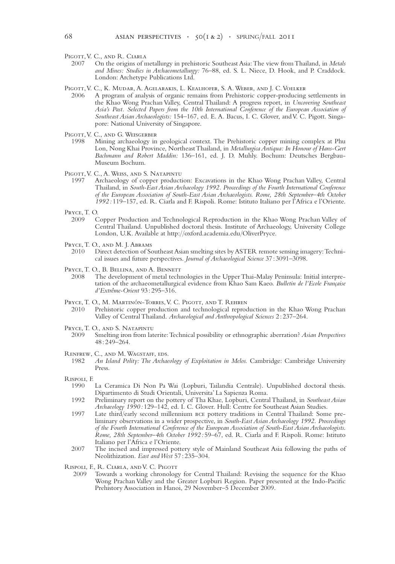PIGOTT, V. C., AND R. CIARLA

- 2007 On the origins of metallurgy in prehistoric Southeast Asia: The view from Thailand, in *Metals and Mines: Studies in Archaeometallurgy:* 76–88, ed. S. L. Niece, D. Hook, and P. Craddock. London: Archetype Publications Ltd.
- PIGOTT, V. C., K. MUDAR, A. AGELARAKIS, L. KEALHOFER, S. A. WEBER, AND J. C. VOELKER<br>2006 A program of analysis of organic remains from Prehistoric conner-producing
- A program of analysis of organic remains from Prehistoric copper-producing settlements in the Khao Wong Prachan Valley, Central Thailand: A progress report, in *Uncovering Southeast Asia's Past. Selected Papers from the 10th International Conference of the European Association of Southeast Asian Archaeologists:* 154–167, ed. E. A*.* Bacus, I. C. Glover, and V. C. Pigott. Singapore: National University of Singapore.
- PIGOTT, V. C., AND G. WEISGERBER<br>1998 Mining archaeology in
- 1998 Mining archaeology in geological context. The Prehistoric copper mining complex at Phu Lon, Nong Khai Province, Northeast Thailand, in *Metallurgica Antiqua: In Honour of Hans-Gert Bachmann and Robert Maddin:* 136–161, ed. J. D. Muhly. Bochum: Deutsches Bergbau-Museum Bochum.
- PIGOTT, V. C., A. WEISS, AND S. NATAPINTU
- 1997 Archaeology of copper production: Excavations in the Khao Wong Prachan Valley, Central Thailand, in *South-East Asian Archaeology 1992. Proceedings of the Fourth International Conference of the European Association of South-East Asian Archaeologists. Rome, 28th September–4th October 1992 :* 119–157, ed. R. Ciarla and F. Rispoli. Rome: Istituto Italiano per l'Africa e l'Oriente.
- Pryce, T. O.<br>2009 (
- 2009 Copper Production and Technological Reproduction in the Khao Wong Prachan Valley of Central Thailand. Unpublished doctoral thesis. Institute of Archaeology, University College London, U.K. Available at http://oxford.academia.edu/OliverPryce.
- Pryce, T. O., and M. J. Abrams
- 2010 Direct detection of Southeast Asian smelting sites by ASTER remote sensing imagery: Technical issues and future perspectives. *Journal of Archaeological Science* 37 : 3091–3098.
- PRYCE, T. O., B. BELLINA, AND A. BENNETT<br>2008 The development of metal techn
	- The development of metal technologies in the Upper Thai-Malay Peninsula: Initial interpretation of the archaeometallurgical evidence from Khao Sam Kaeo. *Bulletin de l'Ecole Française d'Extrême-Orient* 93 : 295–316.
- PRYCE, T. O., M. MARTINÓN-TORRES, V. C. PIGOTT, AND T. REHREN<br>2010 Prehistoric copper production and technological reproc
- Prehistoric copper production and technological reproduction in the Khao Wong Prachan Valley of Central Thailand. *Archaeological and Anthropological Sciences* 2 : 237–264.
- PRYCE, T. O., AND S. NATAPINTU<br>2009 Smelting iron from lat
	- 2009 Smelting iron from laterite: Technical possibility or ethnographic aberration? *Asian Perspectives* 48 : 249–264.
- RENFREW, C., AND M. WAGSTAFF, EDS.<br>1982 An Island Polity: The Archae
	- 1982 *An Island Polity: The Archaeology of Exploitation in Melos.* Cambridge: Cambridge University Press.
- Rispoli, F.
	- La Ceramica Di Non Pa Wai (Lopburi, Tailandia Centrale). Unpublished doctoral thesis. Dipartimento di Studi Orientali, Universita' La Sapienza Roma.
	- 1992 Preliminary report on the pottery of Tha Khae, Lopburi, Central Thailand, in *Southeast Asian Archaeology 1990 :* 129–142, ed. I. C. Glover. Hull: Centre for Southeast Asian Studies.
	- 1997 Late third/early second millennium bce pottery traditions in Central Thailand: Some preliminary observations in a wider prospective, in *South-East Asian Archaeology 1992. Proceedings of the Fourth International Conference of the European Association of South-East Asian Archaeologists. Rome, 28th September–4th October 1992 :* 59–67, ed. R. Ciarla and F. Rispoli. Rome: Istituto Italiano per l'Africa e l'Oriente.
	- 2007 The incised and impressed pottery style of Mainland Southeast Asia following the paths of Neolithization. *East and West* 57 : 235–304.
- Rispoli, F., R. Ciarla, and V. C. Pigott
	- 2009 Towards a working chronology for Central Thailand: Revising the sequence for the Khao Wong Prachan Valley and the Greater Lopburi Region. Paper presented at the Indo-Pacific Prehistory Association in Hanoi, 29 November–5 December 2009.